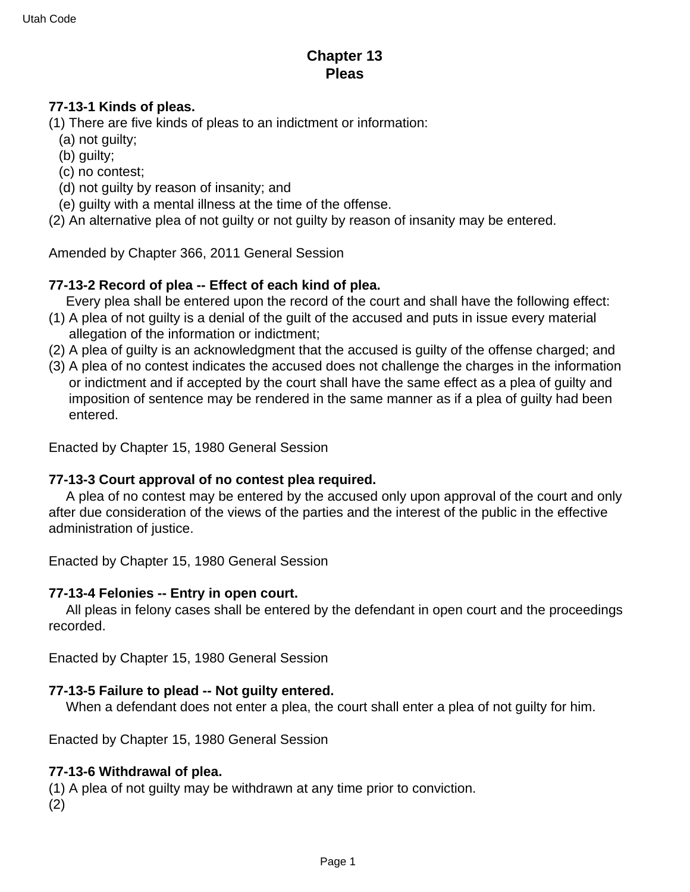# **Chapter 13 Pleas**

### **77-13-1 Kinds of pleas.**

- (1) There are five kinds of pleas to an indictment or information:
	- (a) not guilty;
	- (b) guilty;
	- (c) no contest;
	- (d) not guilty by reason of insanity; and
	- (e) guilty with a mental illness at the time of the offense.
- (2) An alternative plea of not guilty or not guilty by reason of insanity may be entered.

Amended by Chapter 366, 2011 General Session

## **77-13-2 Record of plea -- Effect of each kind of plea.**

Every plea shall be entered upon the record of the court and shall have the following effect:

- (1) A plea of not guilty is a denial of the guilt of the accused and puts in issue every material allegation of the information or indictment;
- (2) A plea of guilty is an acknowledgment that the accused is guilty of the offense charged; and
- (3) A plea of no contest indicates the accused does not challenge the charges in the information or indictment and if accepted by the court shall have the same effect as a plea of guilty and imposition of sentence may be rendered in the same manner as if a plea of guilty had been entered.

Enacted by Chapter 15, 1980 General Session

#### **77-13-3 Court approval of no contest plea required.**

 A plea of no contest may be entered by the accused only upon approval of the court and only after due consideration of the views of the parties and the interest of the public in the effective administration of justice.

Enacted by Chapter 15, 1980 General Session

#### **77-13-4 Felonies -- Entry in open court.**

 All pleas in felony cases shall be entered by the defendant in open court and the proceedings recorded.

Enacted by Chapter 15, 1980 General Session

#### **77-13-5 Failure to plead -- Not guilty entered.**

When a defendant does not enter a plea, the court shall enter a plea of not guilty for him.

Enacted by Chapter 15, 1980 General Session

#### **77-13-6 Withdrawal of plea.**

(1) A plea of not guilty may be withdrawn at any time prior to conviction.

(2)